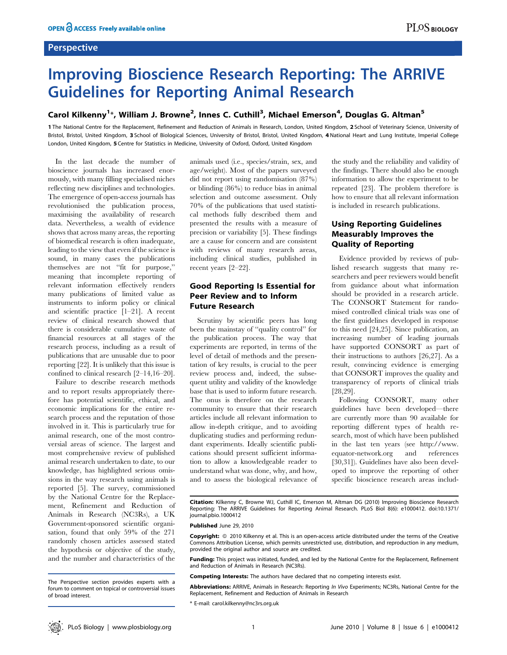## **Perspective**

# Improving Bioscience Research Reporting: The ARRIVE Guidelines for Reporting Animal Research

# Carol Kilkenny<sup>1\*</sup>, William J. Browne<sup>2</sup>, Innes C. Cuthill<sup>3</sup>, Michael Emerson<sup>4</sup>, Douglas G. Altman<sup>5</sup>

1 The National Centre for the Replacement, Refinement and Reduction of Animals in Research, London, United Kingdom, 2 School of Veterinary Science, University of Bristol, Bristol, United Kingdom, 3 School of Biological Sciences, University of Bristol, Bristol, United Kingdom, 4 National Heart and Lung Institute, Imperial College London, United Kingdom, 5 Centre for Statistics in Medicine, University of Oxford, Oxford, United Kingdom

In the last decade the number of bioscience journals has increased enormously, with many filling specialised niches reflecting new disciplines and technologies. The emergence of open-access journals has revolutionised the publication process, maximising the availability of research data. Nevertheless, a wealth of evidence shows that across many areas, the reporting of biomedical research is often inadequate, leading to the view that even if the science is sound, in many cases the publications themselves are not ''fit for purpose,'' meaning that incomplete reporting of relevant information effectively renders many publications of limited value as instruments to inform policy or clinical and scientific practice [1–21]. A recent review of clinical research showed that there is considerable cumulative waste of financial resources at all stages of the research process, including as a result of publications that are unusable due to poor reporting [22]. It is unlikely that this issue is confined to clinical research [2–14,16–20].

Failure to describe research methods and to report results appropriately therefore has potential scientific, ethical, and economic implications for the entire research process and the reputation of those involved in it. This is particularly true for animal research, one of the most controversial areas of science. The largest and most comprehensive review of published animal research undertaken to date, to our knowledge, has highlighted serious omissions in the way research using animals is reported [5]. The survey, commissioned by the National Centre for the Replacement, Refinement and Reduction of Animals in Research (NC3Rs), a UK Government-sponsored scientific organisation, found that only 59% of the 271 randomly chosen articles assessed stated the hypothesis or objective of the study, and the number and characteristics of the

animals used (i.e., species/strain, sex, and age/weight). Most of the papers surveyed did not report using randomisation (87%) or blinding (86%) to reduce bias in animal selection and outcome assessment. Only 70% of the publications that used statistical methods fully described them and presented the results with a measure of precision or variability [5]. These findings are a cause for concern and are consistent with reviews of many research areas, including clinical studies, published in recent years [2–22].

## Good Reporting Is Essential for Peer Review and to Inform Future Research

Scrutiny by scientific peers has long been the mainstay of ''quality control'' for the publication process. The way that experiments are reported, in terms of the level of detail of methods and the presentation of key results, is crucial to the peer review process and, indeed, the subsequent utility and validity of the knowledge base that is used to inform future research. The onus is therefore on the research community to ensure that their research articles include all relevant information to allow in-depth critique, and to avoiding duplicating studies and performing redundant experiments. Ideally scientific publications should present sufficient information to allow a knowledgeable reader to understand what was done, why, and how, and to assess the biological relevance of the study and the reliability and validity of the findings. There should also be enough information to allow the experiment to be repeated [23]. The problem therefore is how to ensure that all relevant information is included in research publications.

## Using Reporting Guidelines Measurably Improves the Quality of Reporting

Evidence provided by reviews of published research suggests that many researchers and peer reviewers would benefit from guidance about what information should be provided in a research article. The CONSORT Statement for randomised controlled clinical trials was one of the first guidelines developed in response to this need [24,25]. Since publication, an increasing number of leading journals have supported CONSORT as part of their instructions to authors [26,27]. As a result, convincing evidence is emerging that CONSORT improves the quality and transparency of reports of clinical trials [28,29].

Following CONSORT, many other guidelines have been developed—there are currently more than 90 available for reporting different types of health research, most of which have been published in the last ten years (see http://www. equator-network.org and references [30,31]). Guidelines have also been developed to improve the reporting of other specific bioscience research areas includ-

#### Published June 29, 2010

Funding: This project was initiated, funded, and led by the National Centre for the Replacement, Refinement and Reduction of Animals in Research (NC3Rs).

Competing Interests: The authors have declared that no competing interests exist.

\* E-mail: carol.kilkenny@nc3rs.org.uk

The Perspective section provides experts with a forum to comment on topical or controversial issues of broad interest.

Citation: Kilkenny C, Browne WJ, Cuthill IC, Emerson M, Altman DG (2010) Improving Bioscience Research Reporting: The ARRIVE Guidelines for Reporting Animal Research. PLoS Biol 8(6): e1000412. doi:10.1371/ journal.pbio.1000412

Copyright: © 2010 Kilkenny et al. This is an open-access article distributed under the terms of the Creative Commons Attribution License, which permits unrestricted use, distribution, and reproduction in any medium, provided the original author and source are credited.

Abbreviations: ARRIVE, Animals in Research: Reporting In Vivo Experiments; NC3Rs, National Centre for the Replacement, Refinement and Reduction of Animals in Research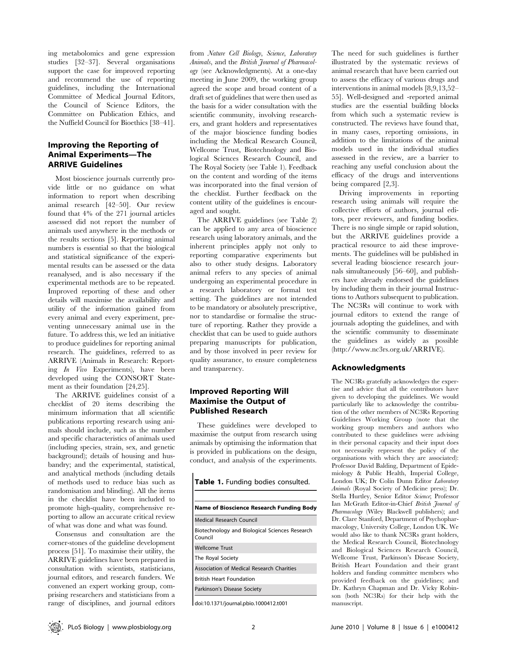ing metabolomics and gene expression studies [32–37]. Several organisations support the case for improved reporting and recommend the use of reporting guidelines, including the International Committee of Medical Journal Editors, the Council of Science Editors, the Committee on Publication Ethics, and the Nuffield Council for Bioethics [38–41].

## Improving the Reporting of Animal Experiments—The ARRIVE Guidelines

Most bioscience journals currently provide little or no guidance on what information to report when describing animal research [42–50]. Our review found that 4% of the 271 journal articles assessed did not report the number of animals used anywhere in the methods or the results sections [5]. Reporting animal numbers is essential so that the biological and statistical significance of the experimental results can be assessed or the data reanalysed, and is also necessary if the experimental methods are to be repeated. Improved reporting of these and other details will maximise the availability and utility of the information gained from every animal and every experiment, preventing unnecessary animal use in the future. To address this, we led an initiative to produce guidelines for reporting animal research. The guidelines, referred to as ARRIVE (Animals in Research: Reporting In Vivo Experiments), have been developed using the CONSORT Statement as their foundation [24,25].

The ARRIVE guidelines consist of a checklist of 20 items describing the minimum information that all scientific publications reporting research using animals should include, such as the number and specific characteristics of animals used (including species, strain, sex, and genetic background); details of housing and husbandry; and the experimental, statistical, and analytical methods (including details of methods used to reduce bias such as randomisation and blinding). All the items in the checklist have been included to promote high-quality, comprehensive reporting to allow an accurate critical review of what was done and what was found.

Consensus and consultation are the corner-stones of the guideline development process [51]. To maximise their utility, the ARRIVE guidelines have been prepared in consultation with scientists, statisticians, journal editors, and research funders. We convened an expert working group, comprising researchers and statisticians from a range of disciplines, and journal editors from Nature Cell Biology, Science, Laboratory Animals, and the British Journal of Pharmacology (see Acknowledgments). At a one-day meeting in June 2009, the working group agreed the scope and broad content of a draft set of guidelines that were then used as the basis for a wider consultation with the scientific community, involving researchers, and grant holders and representatives of the major bioscience funding bodies including the Medical Research Council, Wellcome Trust, Biotechnology and Biological Sciences Research Council, and The Royal Society (see Table 1). Feedback on the content and wording of the items was incorporated into the final version of the checklist. Further feedback on the content utility of the guidelines is encouraged and sought.

The ARRIVE guidelines (see Table 2) can be applied to any area of bioscience research using laboratory animals, and the inherent principles apply not only to reporting comparative experiments but also to other study designs. Laboratory animal refers to any species of animal undergoing an experimental procedure in a research laboratory or formal test setting. The guidelines are not intended to be mandatory or absolutely prescriptive, nor to standardise or formalise the structure of reporting. Rather they provide a checklist that can be used to guide authors preparing manuscripts for publication, and by those involved in peer review for quality assurance, to ensure completeness and transparency.

## Improved Reporting Will Maximise the Output of Published Research

These guidelines were developed to maximise the output from research using animals by optimising the information that is provided in publications on the design, conduct, and analysis of the experiments.

| <b>Table 1.</b> Funding bodies consulted.                 |  |  |  |  |
|-----------------------------------------------------------|--|--|--|--|
|                                                           |  |  |  |  |
| Name of Bioscience Research Funding Body                  |  |  |  |  |
| <b>Medical Research Council</b>                           |  |  |  |  |
| Biotechnology and Biological Sciences Research<br>Council |  |  |  |  |
| <b>Wellcome Trust</b>                                     |  |  |  |  |
| The Royal Society                                         |  |  |  |  |
| Association of Medical Research Charities                 |  |  |  |  |
| <b>British Heart Foundation</b>                           |  |  |  |  |
| Parkinson's Disease Society                               |  |  |  |  |

doi:10.1371/journal.pbio.1000412.t001

The need for such guidelines is further illustrated by the systematic reviews of animal research that have been carried out to assess the efficacy of various drugs and interventions in animal models [8,9,13,52– 55]. Well-designed and -reported animal studies are the essential building blocks from which such a systematic review is constructed. The reviews have found that, in many cases, reporting omissions, in addition to the limitations of the animal models used in the individual studies assessed in the review, are a barrier to reaching any useful conclusion about the efficacy of the drugs and interventions being compared [2,3].

Driving improvements in reporting research using animals will require the collective efforts of authors, journal editors, peer reviewers, and funding bodies. There is no single simple or rapid solution, but the ARRIVE guidelines provide a practical resource to aid these improvements. The guidelines will be published in several leading bioscience research journals simultaneously [56–60], and publishers have already endorsed the guidelines by including them in their journal Instructions to Authors subsequent to publication. The NC3Rs will continue to work with journal editors to extend the range of journals adopting the guidelines, and with the scientific community to disseminate the guidelines as widely as possible (http://www.nc3rs.org.uk/ARRIVE).

## Acknowledgments

The NC3Rs gratefully acknowledges the expertise and advice that all the contributors have given to developing the guidelines. We would particularly like to acknowledge the contribution of the other members of NC3Rs Reporting Guidelines Working Group (note that the working group members and authors who contributed to these guidelines were advising in their personal capacity and their input does not necessarily represent the policy of the organisations with which they are associated): Professor David Balding, Department of Epidemiology & Public Health, Imperial College, London UK; Dr Colin Dunn Editor Laboratory Animals (Royal Society of Medicine press); Dr. Stella Hurtley, Senior Editor Science; Professor Ian McGrath Editor-in-Chief British Journal of Pharmacology (Wiley Blackwell publishers); and Dr. Clare Stanford, Department of Psychopharmacology, University College, London UK. We would also like to thank NC3Rs grant holders, the Medical Research Council, Biotechnology and Biological Sciences Research Council, Wellcome Trust, Parkinson's Disease Society, British Heart Foundation and their grant holders and funding committee members who provided feedback on the guidelines; and Dr. Kathryn Chapman and Dr. Vicky Robinson (both NC3Rs) for their help with the manuscript.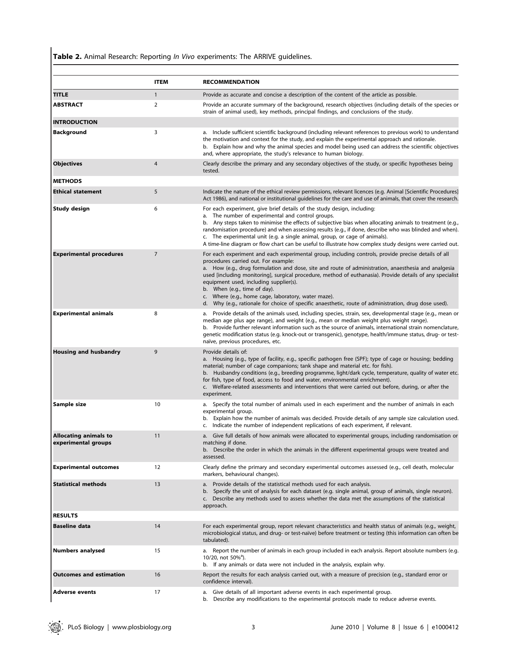|  |  |  |  | Table 2. Animal Research: Reporting In Vivo experiments: The ARRIVE guidelines. |
|--|--|--|--|---------------------------------------------------------------------------------|
|--|--|--|--|---------------------------------------------------------------------------------|

|                                                     | <b>ITEM</b>    | <b>RECOMMENDATION</b>                                                                                                                                                                                                                                                                                                                                                                                                                                                                                                                                                                                      |
|-----------------------------------------------------|----------------|------------------------------------------------------------------------------------------------------------------------------------------------------------------------------------------------------------------------------------------------------------------------------------------------------------------------------------------------------------------------------------------------------------------------------------------------------------------------------------------------------------------------------------------------------------------------------------------------------------|
| <b>TITLE</b>                                        | $\mathbf{1}$   | Provide as accurate and concise a description of the content of the article as possible.                                                                                                                                                                                                                                                                                                                                                                                                                                                                                                                   |
| <b>ABSTRACT</b>                                     | $\overline{2}$ | Provide an accurate summary of the background, research objectives (including details of the species or<br>strain of animal used), key methods, principal findings, and conclusions of the study.                                                                                                                                                                                                                                                                                                                                                                                                          |
| <b>INTRODUCTION</b>                                 |                |                                                                                                                                                                                                                                                                                                                                                                                                                                                                                                                                                                                                            |
| <b>Background</b>                                   | 3              | a. Include sufficient scientific background (including relevant references to previous work) to understand<br>the motivation and context for the study, and explain the experimental approach and rationale.<br>b. Explain how and why the animal species and model being used can address the scientific objectives<br>and, where appropriate, the study's relevance to human biology.                                                                                                                                                                                                                    |
| <b>Objectives</b>                                   | $\overline{4}$ | Clearly describe the primary and any secondary objectives of the study, or specific hypotheses being<br>tested.                                                                                                                                                                                                                                                                                                                                                                                                                                                                                            |
| <b>METHODS</b>                                      |                |                                                                                                                                                                                                                                                                                                                                                                                                                                                                                                                                                                                                            |
| <b>Ethical statement</b>                            | 5              | Indicate the nature of the ethical review permissions, relevant licences (e.g. Animal [Scientific Procedures]<br>Act 1986), and national or institutional quidelines for the care and use of animals, that cover the research.                                                                                                                                                                                                                                                                                                                                                                             |
| <b>Study design</b>                                 | 6              | For each experiment, give brief details of the study design, including:<br>a. The number of experimental and control groups.<br>b. Any steps taken to minimise the effects of subjective bias when allocating animals to treatment (e.g.,<br>randomisation procedure) and when assessing results (e.g., if done, describe who was blinded and when).<br>c. The experimental unit (e.g. a single animal, group, or cage of animals).<br>A time-line diagram or flow chart can be useful to illustrate how complex study designs were carried out.                                                           |
| <b>Experimental procedures</b>                      | 7              | For each experiment and each experimental group, including controls, provide precise details of all<br>procedures carried out. For example:<br>a. How (e.g., drug formulation and dose, site and route of administration, anaesthesia and analgesia<br>used [including monitoring], surgical procedure, method of euthanasia). Provide details of any specialist<br>equipment used, including supplier(s).<br>b. When (e.g., time of day).<br>c. Where (e.g., home cage, laboratory, water maze).<br>d. Why (e.g., rationale for choice of specific anaesthetic, route of administration, drug dose used). |
| <b>Experimental animals</b>                         | 8              | a. Provide details of the animals used, including species, strain, sex, developmental stage (e.g., mean or<br>median age plus age range), and weight (e.g., mean or median weight plus weight range).<br>b. Provide further relevant information such as the source of animals, international strain nomenclature,<br>genetic modification status (e.g. knock-out or transgenic), genotype, health/immune status, drug- or test-<br>naïve, previous procedures, etc.                                                                                                                                       |
| <b>Housing and husbandry</b>                        | 9              | Provide details of:<br>a. Housing (e.g., type of facility, e.g., specific pathogen free (SPF); type of cage or housing; bedding<br>material; number of cage companions; tank shape and material etc. for fish).<br>b. Husbandry conditions (e.g., breeding programme, light/dark cycle, temperature, quality of water etc.<br>for fish, type of food, access to food and water, environmental enrichment).<br>c. Welfare-related assessments and interventions that were carried out before, during, or after the<br>experiment.                                                                           |
| Sample size                                         | 10             | a. Specify the total number of animals used in each experiment and the number of animals in each<br>experimental group.<br>b. Explain how the number of animals was decided. Provide details of any sample size calculation used.<br>c. Indicate the number of independent replications of each experiment, if relevant.                                                                                                                                                                                                                                                                                   |
| <b>Allocating animals to</b><br>experimental groups | 11             | a. Give full details of how animals were allocated to experimental groups, including randomisation or<br>matching if done.<br>b. Describe the order in which the animals in the different experimental groups were treated and<br>assessed.                                                                                                                                                                                                                                                                                                                                                                |
| <b>Experimental outcomes</b>                        | 12             | Clearly define the primary and secondary experimental outcomes assessed (e.g., cell death, molecular<br>markers, behavioural changes).                                                                                                                                                                                                                                                                                                                                                                                                                                                                     |
| <b>Statistical methods</b>                          | 13             | a. Provide details of the statistical methods used for each analysis.<br>b. Specify the unit of analysis for each dataset (e.g. single animal, group of animals, single neuron).<br>c. Describe any methods used to assess whether the data met the assumptions of the statistical<br>approach.                                                                                                                                                                                                                                                                                                            |
| <b>RESULTS</b>                                      |                |                                                                                                                                                                                                                                                                                                                                                                                                                                                                                                                                                                                                            |
| <b>Baseline data</b>                                | 14             | For each experimental group, report relevant characteristics and health status of animals (e.g., weight,<br>microbiological status, and drug- or test-naïve) before treatment or testing (this information can often be<br>tabulated).                                                                                                                                                                                                                                                                                                                                                                     |
| <b>Numbers analysed</b>                             | 15             | a. Report the number of animals in each group included in each analysis. Report absolute numbers (e.g.<br>10/20, not $50\%$ <sup>a</sup> ).<br>b. If any animals or data were not included in the analysis, explain why.                                                                                                                                                                                                                                                                                                                                                                                   |
| <b>Outcomes and estimation</b>                      | 16             | Report the results for each analysis carried out, with a measure of precision (e.g., standard error or<br>confidence interval).                                                                                                                                                                                                                                                                                                                                                                                                                                                                            |
| Adverse events                                      | 17             | a. Give details of all important adverse events in each experimental group.<br>b. Describe any modifications to the experimental protocols made to reduce adverse events.                                                                                                                                                                                                                                                                                                                                                                                                                                  |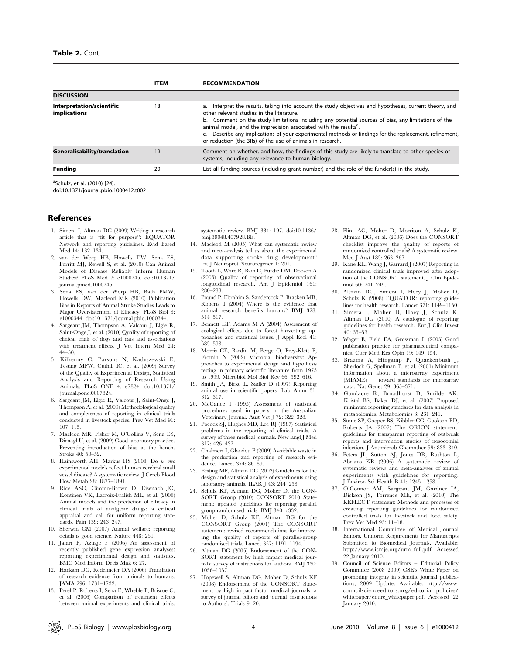Table 2. Cont.

|                                           | <b>ITEM</b> | <b>RECOMMENDATION</b>                                                                                                                                                                                                                                                                                                                                                                                                                                                                                                |
|-------------------------------------------|-------------|----------------------------------------------------------------------------------------------------------------------------------------------------------------------------------------------------------------------------------------------------------------------------------------------------------------------------------------------------------------------------------------------------------------------------------------------------------------------------------------------------------------------|
| <b>DISCUSSION</b>                         |             |                                                                                                                                                                                                                                                                                                                                                                                                                                                                                                                      |
| Interpretation/scientific<br>implications | 18          | Interpret the results, taking into account the study objectives and hypotheses, current theory, and<br>a.<br>other relevant studies in the literature.<br>b. Comment on the study limitations including any potential sources of bias, any limitations of the<br>animal model, and the imprecision associated with the results <sup>a</sup> .<br>c. Describe any implications of your experimental methods or findings for the replacement, refinement,<br>or reduction (the 3Rs) of the use of animals in research. |
| Generalisability/translation              | 19          | Comment on whether, and how, the findings of this study are likely to translate to other species or<br>systems, including any relevance to human biology.                                                                                                                                                                                                                                                                                                                                                            |
| Funding                                   | 20          | List all funding sources (including grant number) and the role of the funder(s) in the study.                                                                                                                                                                                                                                                                                                                                                                                                                        |
|                                           |             |                                                                                                                                                                                                                                                                                                                                                                                                                                                                                                                      |

<sup>a</sup>Schulz, et al. (2010) [24].

doi:10.1371/journal.pbio.1000412.t002

#### References

- 1. Simera I, Altman DG (2009) Writing a research article that is ''fit for purpose'': EQUATOR Network and reporting guidelines. Evid Based Med 14: 132–134.
- 2. van der Worp HB, Howells DW, Sena ES, Porritt MJ, Rewell S, et al. (2010) Can Animal Models of Disease Reliably Inform Human Studies? PLoS Med 7: e1000245. doi:10.1371/ journal.pmed.1000245.
- 3. Sena ES, van der Worp HB, Bath PMW, Howells DW, Macleod MR (2010) Publication Bias in Reports of Animal Stroke Studies Leads to Major Overstatement of Efficacy. PLoS Biol 8: e1000344. doi:10.1371/journal.pbio.1000344.
- 4. Sargeant JM, Thompson A, Valcour J, Elgie R, Saint-Onge J, et al. (2010) Quality of reporting of clinical trials of dogs and cats and associations with treatment effects. J Vet Intern Med 24: 44–50.
- 5. Kilkenny C, Parsons N, Kadyszewski E, Festing MFW, Cuthill IC, et al. (2009) Survey of the Quality of Experimental Design, Statistical Analysis and Reporting of Research Using Animals. PLoS ONE 4: e7824. doi:10.1371/ journal.pone.0007824.
- 6. Sargeant JM, Elgie R, Valcour J, Saint-Onge J, Thompson A, et al. (2009) Methodological quality and completeness of reporting in clinical trials conducted in livestock species. Prev Vet Med 91: 107–115.
- 7. Macleod MR, Fisher M, O'Collins V, Sena ES, Dirnagl U, et al. (2009) Good laboratory practice. Preventing introduction of bias at the bench. Stroke 40: 50–52.
- 8. Hainsworth AH, Markus HS (2008) Do in vivo experimental models reflect human cerebral small vessel disease? A systematic review. J Cereb Blood Flow Metab 28: 1877–1891.
- 9. Rice ASC, Cimino-Brown D, Eisenach JC, Kontinen VK, Lacroix-Fralish ML, et al. (2008) Animal models and the prediction of efficacy in clinical trials of analgesic drugs: a critical appraisal and call for uniform reporting standards. Pain 139: 243–247.
- 10. Sherwin CM (2007) Animal welfare: reporting details is good science. Nature 448: 251.
- 11. Jafari P, Azuaje F (2006) An assessment of recently published gene expression analyses: reporting experimental design and statistics. BMC Med Inform Decis Mak 6: 27.
- 12. Hackam DG, Redelmeier DA (2006) Translation of research evidence from animals to humans. JAMA 296: 1731–1732.
- 13. Perel P, Roberts I, Sena E, Wheble P, Briscoe C, et al. (2006) Comparison of treatment effects between animal experiments and clinical trials:

systematic review. BMJ 334: 197. doi:10.1136/ bmj.39048.407928.BE.

- 14. Macleod M (2005) What can systematic review and meta-analysis tell us about the experimental data supporting stroke drug development? Int J Neuroprot Neuroregener 1: 201.
- 15. Tooth L, Ware R, Bain C, Purdie DM, Dobson A (2005) Quality of reporting of observational longitudinal research. Am J Epidemiol 161: 280–288.
- 16. Pound P, Ebrahim S, Sandercock P, Bracken MB, Roberts I (2004) Where is the evidence that animal research benefits humans? BMJ 328: 514–517.
- 17. Bennett LT, Adams M A (2004) Assessment of ecological effects due to forest harvesting: approaches and statistical issues. J Appl Ecol 41: 585–598.
- 18. Morris CE, Bardin M, Berge O, Frey-Klett P, Fromin N (2002) Microbial biodiversity: Approaches to experimental design and hypothesis testing in primary scientific literature from 1975 to 1999. Microbiol Mol Biol Rev 66: 592–616.
- 19. Smith JA, Birke L, Sadler D (1997) Reporting animal use in scientific papers. Lab Anim 31: 312–317.
- 20. McCance I (1995) Assessment of statistical procedures used in papers in the Australian Veterinary Journal. Aust Vet J 72: 322–328.
- 21. Pocock SJ, Hughes MD, Lee RJ (1987) Statistical problems in the reporting of clinical trials. A survey of three medical journals. New Engl J Med 317: 426–432.
- 22. Chalmers I, Glasziou P (2009) Avoidable waste in the production and reporting of research evidence. Lancet 374: 86–89.
- 23. Festing MF, Altman DG (2002) Guidelines for the design and statistical analysis of experiments using laboratory animals. ILAR J 43: 244–258.
- 24. Schulz KF, Altman DG, Moher D, the CON-SORT Group (2010) CONSORT 2010 Statement: updated guidelines for reporting parallel group randomised trials. BMJ 340: c332.
- 25. Moher D, Schulz KF, Altman DG for the CONSORT Group (2001) The CONSORT statement: revised recommendations for improving the quality of reports of parallel-group randomised trials. Lancet 357: 1191–1194.
- 26. Altman DG (2005) Endorsement of the CON-SORT statement by high impact medical journals: survey of instructions for authors. BMJ 330: 1056–1057.
- 27. Hopewell S, Altman DG, Moher D, Schulz KF (2008) Endorsement of the CONSORT Statement by high impact factor medical journals: a survey of journal editors and journal 'instructions to Authors'. Trials 9: 20.
- 28. Plint AC, Moher D, Morrison A, Schulz K, Altman DG, et al. (2006) Does the CONSORT checklist improve the quality of reports of randomised controlled trials? A systematic review. Med J Aust 185: 263–267.
- 29. Kane RL, Wang J, Garrard J (2007) Reporting in randomized clinical trials improved after adoption of the CONSORT statement. J Clin Epidemiol 60: 241–249.
- 30. Altman DG, Simera I, Hoey J, Moher D, Schulz K (2008) EQUATOR: reporting guidelines for health research. Lancet 371: 1149–1150.
- 31. Simera I, Moher D, Hoey J, Schulz K, Altman DG (2010) A catalogue of reporting guidelines for health research. Eur J Clin Invest 40: 35–53.
- 32. Wager E, Field EA, Grossman L (2003) Good publication practice for pharmaceutical companies. Curr Med Res Opin 19: 149–154.
- 33. Brazma A, Hingamp P, Quackenbush J, Sherlock G, Spellman P, et al. (2001) Minimum information about a microarray experiment (MIAME) — toward standards for microarray data. Nat Genet 29: 365–371.
- 34. Goodacre R, Broadhurst D, Smilde AK, Kristal BS, Baker DJ, et al. (2007) Proposed minimum reporting standards for data analysis in metabolomics. Metabolomics 3: 231–241.
- 35. Stone SP, Cooper BS, Kibbler CC, Cookson BD, Roberts JA (2007) The ORION statement: guidelines for transparent reporting of outbreak reports and intervention studies of nosocomial infection. J Antimicrob Chemother 59: 833–840.
- 36. Peters JL, Sutton AJ, Jones DR, Rushton L, Abrams KR (2006) A systematic review of systematic reviews and meta-analyses of animal experiments with guidelines for reporting. J Environ Sci Health B 41: 1245–1258.
- 37. O'Connor AM, Sargeant JM, Gardner IA, Dickson JS, Torrence ME, et al. (2010) The REFLECT statement: Methods and processes of creating reporting guidelines for randomised controlled trials for livestock and food safety. Prev Vet Med 93: 11–18.
- 38. International Committee of Medical Journal Editors. Uniform Requirements for Manuscripts Submitted to Biomedical Journals. Available: http://www.icmje.org/urm\_full.pdf. Accessed 22 January 2010.
- 39. Council of Science Editors Editorial Policy Committee (2008–2009) CSE's White Paper on promoting integrity in scientific journal publications, 2009 Update. Available: http://www. councilscienceeditors.org/editorial\_policies/ whitepaper/entire\_whitepaper.pdf. Accessed 22 January 2010.